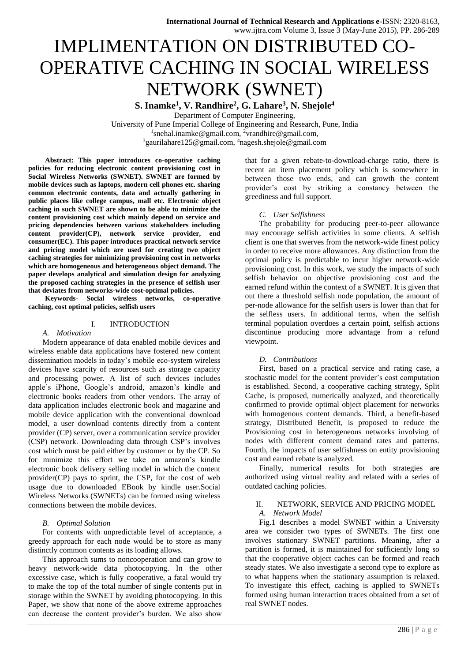# IMPLIMENTATION ON DISTRIBUTED CO-OPERATIVE CACHING IN SOCIAL WIRELESS NETWORK (SWNET)

**S. Inamke<sup>1</sup> , V. Randhire<sup>2</sup> , G. Lahare<sup>3</sup> , N. Shejole<sup>4</sup>**

Department of Computer Engineering, University of Pune Imperial College of Engineering and Research, Pune, India <sup>1</sup>[snehal.inamke@gmail.com,](mailto:1snehal.inamke@gmail.com,2vrandhire@gmail.com) <sup>2</sup>vrandhire@gmail.com, <sup>3</sup>[gaurilahare125@gmail.com,](mailto:3gaurilahare125@gmail.com,) <sup>4</sup>nagesh.shejole@gmail.com

**Abstract: This paper introduces co-operative caching policies for reducing electronic content provisioning cost in Social Wireless Networks (SWNET). SWNET are formed by mobile devices such as laptops, modern cell phones etc. sharing common electronic contents, data and actually gathering in public places like college campus, mall etc. Electronic object caching in such SWNET are shown to be able to minimize the content provisioning cost which mainly depend on service and pricing dependencies between various stakeholders including content provider(CP), network service provider, end consumer(EC). This paper introduces practical network service and pricing model which are used for creating two object caching strategies for minimizing provisioning cost in networks which are homogeneous and heterogeneous object demand. The paper develops analytical and simulation design for analyzing the proposed caching strategies in the presence of selfish user that deviates from networks-wide cost-optimal policies.**

**Keywords- Social wireless networks, co-operative caching, cost optimal policies, selfish users**

## I. INTRODUCTION

# *A. Motivation*

Modern appearance of data enabled mobile devices and wireless enable data applications have fostered new content dissemination models in today's mobile eco-system wireless devices have scarcity of resources such as storage capacity and processing power. A list of such devices includes apple's iPhone, Google's android, amazon's kindle and electronic books readers from other vendors. The array of data application includes electronic book and magazine and mobile device application with the conventional download model, a user download contents directly from a content provider (CP) server, over a communication service provider (CSP) network. Downloading data through CSP's involves cost which must be paid either by customer or by the CP. So for minimize this effort we take on amazon's kindle electronic book delivery selling model in which the content provider(CP) pays to sprint, the CSP, for the cost of web usage due to downloaded EBook by kindle user.Social Wireless Networks (SWNETs) can be formed using wireless connections between the mobile devices.

## *B. Optimal Solution*

For contents with unpredictable level of acceptance, a greedy approach for each node would be to store as many distinctly common contents as its loading allows.

This approach sums to noncooperation and can grow to heavy network-wide data photocopying. In the other excessive case, which is fully cooperative, a fatal would try to make the top of the total number of single contents put in storage within the SWNET by avoiding photocopying. In this Paper, we show that none of the above extreme approaches can decrease the content provider's burden. We also show

that for a given rebate-to-download-charge ratio, there is recent an item placement policy which is somewhere in between those two ends, and can growth the content provider's cost by striking a constancy between the greediness and full support.

## *C. User Selfishness*

The probability for producing peer-to-peer allowance may encourage selfish activities in some clients. A selfish client is one that swerves from the network-wide finest policy in order to receive more allowances. Any distinction from the optimal policy is predictable to incur higher network-wide provisioning cost. In this work, we study the impacts of such selfish behavior on objective provisioning cost and the earned refund within the context of a SWNET. It is given that out there a threshold selfish node population, the amount of per-node allowance for the selfish users is lower than that for the selfless users. In additional terms, when the selfish terminal population overdoes a certain point, selfish actions discontinue producing more advantage from a refund viewpoint.

## *D. Contributions*

First, based on a practical service and rating case, a stochastic model for the content provider's cost computation is established. Second, a cooperative caching strategy, Split Cache, is proposed, numerically analyzed, and theoretically confirmed to provide optimal object placement for networks with homogenous content demands. Third, a benefit-based strategy, Distributed Benefit, is proposed to reduce the Provisioning cost in heterogeneous networks involving of nodes with different content demand rates and patterns. Fourth, the impacts of user selfishness on entity provisioning cost and earned rebate is analyzed.

Finally, numerical results for both strategies are authorized using virtual reality and related with a series of outdated caching policies.

# II. NETWORK, SERVICE AND PRICING MODEL

# *A. Network Model*

Fig.1 describes a model SWNET within a University area we consider two types of SWNETs. The first one involves stationary SWNET partitions. Meaning, after a partition is formed, it is maintained for sufficiently long so that the cooperative object caches can be formed and reach steady states. We also investigate a second type to explore as to what happens when the stationary assumption is relaxed. To investigate this effect, caching is applied to SWNETs formed using human interaction traces obtained from a set of real SWNET nodes.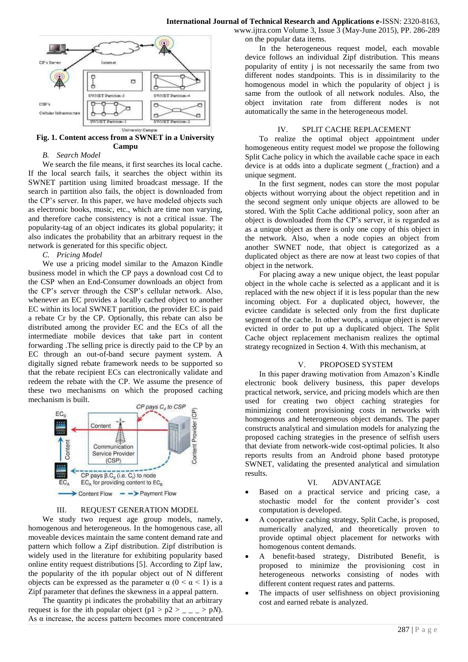

**Fig. 1. Content access from a SWNET in a University Campu**

## *B. Search Model*

We search the file means, it first searches its local cache. If the local search fails, it searches the object within its SWNET partition using limited broadcast message. If the search in partition also fails, the object is downloaded from the CP's server. In this paper, we have modeled objects such as electronic books, music, etc., which are time non varying, and therefore cache consistency is not a critical issue. The popularity-tag of an object indicates its global popularity; it also indicates the probability that an arbitrary request in the network is generated for this specific object.

## *C. Pricing Model*

We use a pricing model similar to the Amazon Kindle business model in which the CP pays a download cost Cd to the CSP when an End-Consumer downloads an object from the CP's server through the CSP's cellular network. Also, whenever an EC provides a locally cached object to another EC within its local SWNET partition, the provider EC is paid a rebate Cr by the CP. Optionally, this rebate can also be distributed among the provider EC and the ECs of all the intermediate mobile devices that take part in content forwarding .The selling price is directly paid to the CP by an EC through an out-of-band secure payment system. A digitally signed rebate framework needs to be supported so that the rebate recipient ECs can electronically validate and redeem the rebate with the CP. We assume the presence of these two mechanisms on which the proposed caching mechanism is built.



#### III. REQUEST GENERATION MODEL

We study two request age group models, namely, homogenous and heterogeneous. In the homogenous case, all moveable devices maintain the same content demand rate and pattern which follow a Zipf distribution. Zipf distribution is widely used in the literature for exhibiting popularity based online entity request distributions [5]. According to Zipf law, the popularity of the ith popular object out of N different objects can be expressed as the parameter  $\alpha$  ( $0 \le \alpha \le 1$ ) is a Zipf parameter that defines the skewness in a appeal pattern.

The quantity pi indicates the probability that an arbitrary request is for the ith popular object (p1 >  $p2 >$  \_ \_ \_ > p*N*). As  $\alpha$  increase, the access pattern becomes more concentrated

www.ijtra.com Volume 3, Issue 3 (May-June 2015), PP. 286-289 on the popular data items.

In the heterogeneous request model, each movable device follows an individual Zipf distribution. This means popularity of entity j is not necessarily the same from two different nodes standpoints. This is in dissimilarity to the homogenous model in which the popularity of object j is same from the outlook of all network nodules. Also, the object invitation rate from different nodes is not automatically the same in the heterogeneous model.

#### IV. SPLIT CACHE REPLACEMENT

To realize the optimal object appointment under homogeneous entity request model we propose the following Split Cache policy in which the available cache space in each device is at odds into a duplicate segment (\_fraction) and a unique segment.

In the first segment, nodes can store the most popular objects without worrying about the object repetition and in the second segment only unique objects are allowed to be stored. With the Split Cache additional policy, soon after an object is downloaded from the CP's server, it is regarded as as a unique object as there is only one copy of this object in the network. Also, when a node copies an object from another SWNET node, that object is categorized as a duplicated object as there are now at least two copies of that object in the network.

For placing away a new unique object, the least popular object in the whole cache is selected as a applicant and it is replaced with the new object if it is less popular than the new incoming object. For a duplicated object, however, the evictee candidate is selected only from the first duplicate segment of the cache. In other words, a unique object is never evicted in order to put up a duplicated object. The Split Cache object replacement mechanism realizes the optimal strategy recognized in Section 4. With this mechanism, at

## V. PROPOSED SYSTEM

In this paper drawing motivation from Amazon's Kindle electronic book delivery business, this paper develops practical network, service, and pricing models which are then used for creating two object caching strategies for minimizing content provisioning costs in networks with homogenous and heterogeneous object demands. The paper constructs analytical and simulation models for analyzing the proposed caching strategies in the presence of selfish users that deviate from network-wide cost-optimal policies. It also reports results from an Android phone based prototype SWNET, validating the presented analytical and simulation results.

#### VI. ADVANTAGE

- Based on a practical service and pricing case, a stochastic model for the content provider's cost computation is developed.
- A cooperative caching strategy, Split Cache, is proposed, numerically analyzed, and theoretically proven to provide optimal object placement for networks with homogenous content demands.
- A benefit-based strategy, Distributed Benefit, is proposed to minimize the provisioning cost in heterogeneous networks consisting of nodes with different content request rates and patterns.
- The impacts of user selfishness on object provisioning cost and earned rebate is analyzed.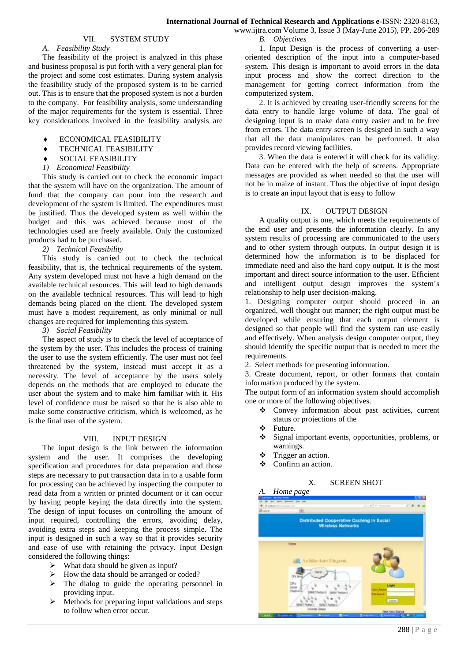## VII. SYSTEM STUDY

## *A. Feasibility Study*

The feasibility of the project is analyzed in this phase and business proposal is put forth with a very general plan for the project and some cost estimates. During system analysis the feasibility study of the proposed system is to be carried out. This is to ensure that the proposed system is not a burden to the company. For feasibility analysis, some understanding of the major requirements for the system is essential. Three key considerations involved in the feasibility analysis are

- ECONOMICAL FEASIBILITY
- **TECHNICAL FEASIBILITY**
- SOCIAL FEASIBILITY
- *1) Economical Feasibility*

This study is carried out to check the economic impact that the system will have on the organization. The amount of fund that the company can pour into the research and development of the system is limited. The expenditures must be justified. Thus the developed system as well within the budget and this was achieved because most of the technologies used are freely available. Only the customized products had to be purchased.

*2) Technical Feasibility*

This study is carried out to check the technical feasibility, that is, the technical requirements of the system. Any system developed must not have a high demand on the available technical resources. This will lead to high demands on the available technical resources. This will lead to high demands being placed on the client. The developed system must have a modest requirement, as only minimal or null changes are required for implementing this system.

*3) Social Feasibility*

The aspect of study is to check the level of acceptance of the system by the user. This includes the process of training the user to use the system efficiently. The user must not feel threatened by the system, instead must accept it as a necessity. The level of acceptance by the users solely depends on the methods that are employed to educate the user about the system and to make him familiar with it. His level of confidence must be raised so that he is also able to make some constructive criticism, which is welcomed, as he is the final user of the system.

#### VIII. INPUT DESIGN

The input design is the link between the information system and the user. It comprises the developing specification and procedures for data preparation and those steps are necessary to put transaction data in to a usable form for processing can be achieved by inspecting the computer to read data from a written or printed document or it can occur by having people keying the data directly into the system. The design of input focuses on controlling the amount of input required, controlling the errors, avoiding delay, avoiding extra steps and keeping the process simple. The input is designed in such a way so that it provides security and ease of use with retaining the privacy. Input Design considered the following things:

- $\triangleright$  What data should be given as input?
- $\triangleright$  How the data should be arranged or coded?
- $\triangleright$  The dialog to guide the operating personnel in providing input.
- Methods for preparing input validations and steps to follow when error occur.

www.ijtra.com Volume 3, Issue 3 (May-June 2015), PP. 286-289 *B. Objectives*

1. Input Design is the process of converting a useroriented description of the input into a computer-based system. This design is important to avoid errors in the data input process and show the correct direction to the management for getting correct information from the computerized system.

2. It is achieved by creating user-friendly screens for the data entry to handle large volume of data. The goal of designing input is to make data entry easier and to be free from errors. The data entry screen is designed in such a way that all the data manipulates can be performed. It also provides record viewing facilities.

3. When the data is entered it will check for its validity. Data can be entered with the help of screens. Appropriate messages are provided as when needed so that the user will not be in maize of instant. Thus the objective of input design is to create an input layout that is easy to follow

## IX. OUTPUT DESIGN

A quality output is one, which meets the requirements of the end user and presents the information clearly. In any system results of processing are communicated to the users and to other system through outputs. In output design it is determined how the information is to be displaced for immediate need and also the hard copy output. It is the most important and direct source information to the user. Efficient and intelligent output design improves the system's relationship to help user decision-making.

1. Designing computer output should proceed in an organized, well thought out manner; the right output must be developed while ensuring that each output element is designed so that people will find the system can use easily and effectively. When analysis design computer output, they should Identify the specific output that is needed to meet the requirements.

2. Select methods for presenting information.

3. Create document, report, or other formats that contain information produced by the system.

The output form of an information system should accomplish one or more of the following objectives.

- Convey information about past activities, current status or projections of the
- Future.
- Signal important events, opportunities, problems, or warnings.
- $\div$  Trigger an action.
- Confirm an action.

#### X. SCREEN SHOT